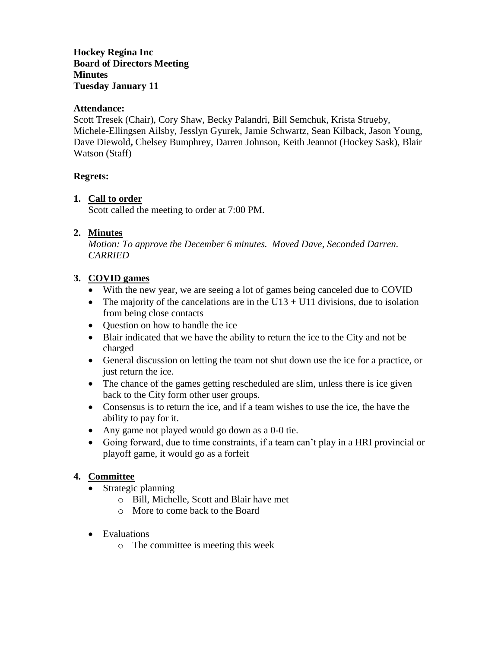**Hockey Regina Inc Board of Directors Meeting Minutes Tuesday January 11**

## **Attendance:**

Scott Tresek (Chair), Cory Shaw, Becky Palandri, Bill Semchuk, Krista Strueby, Michele-Ellingsen Ailsby, Jesslyn Gyurek, Jamie Schwartz, Sean Kilback, Jason Young, Dave Diewold**,** Chelsey Bumphrey, Darren Johnson, Keith Jeannot (Hockey Sask), Blair Watson (Staff)

#### **Regrets:**

## **1. Call to order**

Scott called the meeting to order at 7:00 PM.

## **2. Minutes**

*Motion: To approve the December 6 minutes. Moved Dave, Seconded Darren. CARRIED*

## **3. COVID games**

- With the new year, we are seeing a lot of games being canceled due to COVID
- The majority of the cancelations are in the U13 + U11 divisions, due to isolation from being close contacts
- Ouestion on how to handle the ice
- Blair indicated that we have the ability to return the ice to the City and not be charged
- General discussion on letting the team not shut down use the ice for a practice, or just return the ice.
- The chance of the games getting rescheduled are slim, unless there is ice given back to the City form other user groups.
- Consensus is to return the ice, and if a team wishes to use the ice, the have the ability to pay for it.
- Any game not played would go down as a 0-0 tie.
- Going forward, due to time constraints, if a team can't play in a HRI provincial or playoff game, it would go as a forfeit

## **4. Committee**

- Strategic planning
	- o Bill, Michelle, Scott and Blair have met
	- o More to come back to the Board
- Evaluations
	- o The committee is meeting this week